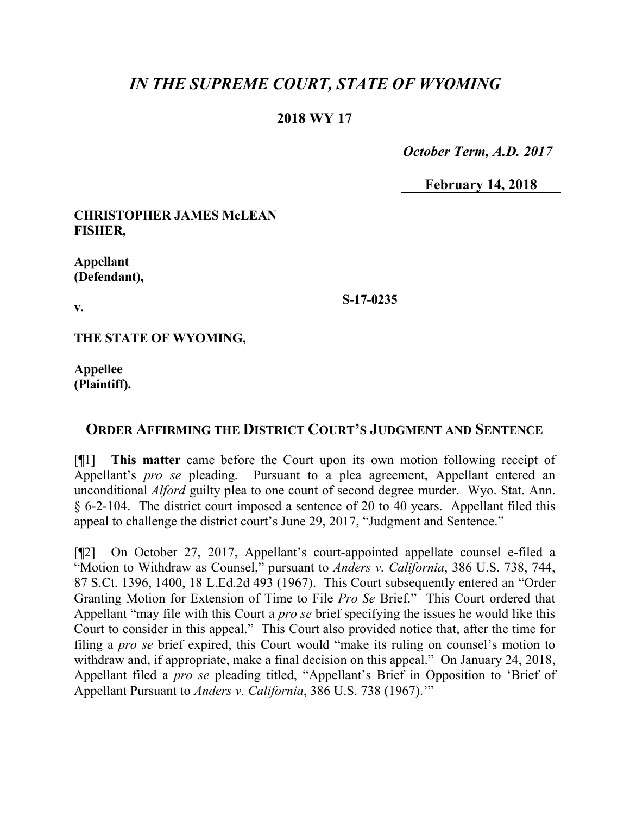## *IN THE SUPREME COURT, STATE OF WYOMING*

## **2018 WY 17**

 *October Term, A.D. 2017*

**February 14, 2018**

**CHRISTOPHER JAMES McLEAN FISHER,** 

**Appellant (Defendant),**

**v.**

**S-17-0235**

**THE STATE OF WYOMING,**

**Appellee (Plaintiff).**

## **ORDER AFFIRMING THE DISTRICT COURT'S JUDGMENT AND SENTENCE**

[¶1] **This matter** came before the Court upon its own motion following receipt of Appellant's *pro se* pleading. Pursuant to a plea agreement, Appellant entered an unconditional *Alford* guilty plea to one count of second degree murder. Wyo. Stat. Ann. § 6-2-104. The district court imposed a sentence of 20 to 40 years. Appellant filed this appeal to challenge the district court's June 29, 2017, "Judgment and Sentence."

[¶2] On October 27, 2017, Appellant's court-appointed appellate counsel e-filed a "Motion to Withdraw as Counsel," pursuant to *Anders v. California*, 386 U.S. 738, 744, 87 S.Ct. 1396, 1400, 18 L.Ed.2d 493 (1967). This Court subsequently entered an "Order Granting Motion for Extension of Time to File *Pro Se* Brief." This Court ordered that Appellant "may file with this Court a *pro se* brief specifying the issues he would like this Court to consider in this appeal." This Court also provided notice that, after the time for filing a *pro se* brief expired, this Court would "make its ruling on counsel's motion to withdraw and, if appropriate, make a final decision on this appeal." On January 24, 2018, Appellant filed a *pro se* pleading titled, "Appellant's Brief in Opposition to 'Brief of Appellant Pursuant to *Anders v. California*, 386 U.S. 738 (1967).'"